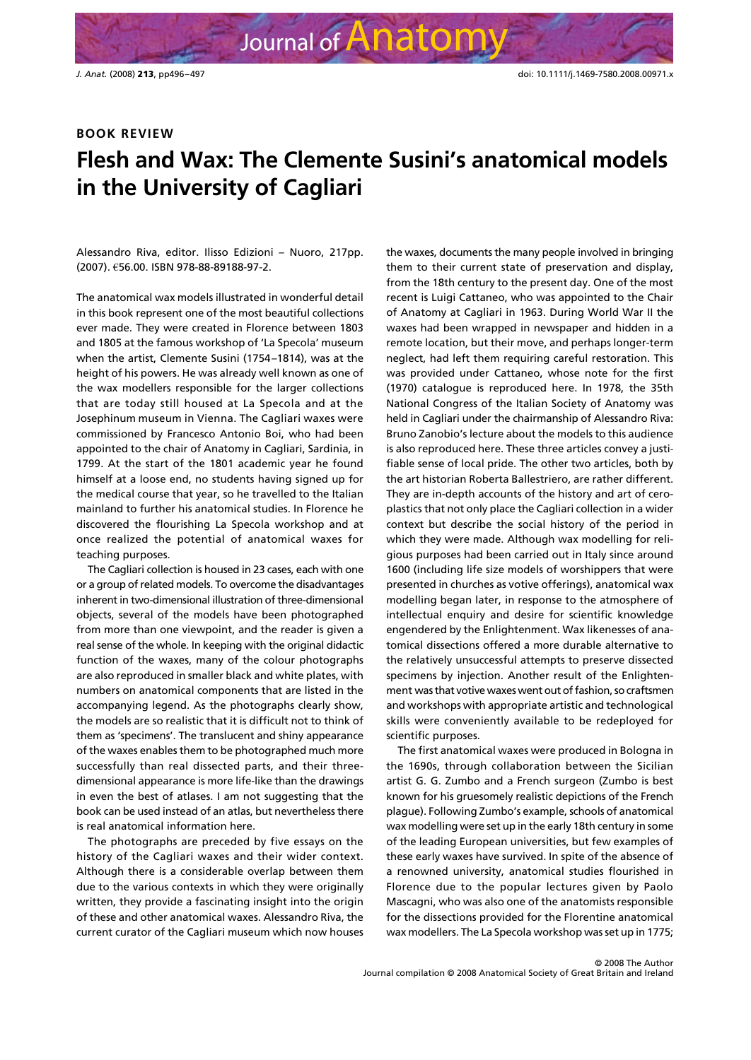## **BOOK REVIEW**

## **Flesh and Wax: The Clemente Susini's anatomical models in the University of Cagliari**

Journal of Anatomy

Alessandro Riva, editor. Ilisso Edizioni – Nuoro, 217pp. (2007). €56.00. ISBN 978-88-89188-97-2.

The anatomical wax models illustrated in wonderful detail in this book represent one of the most beautiful collections ever made. They were created in Florence between 1803 and 1805 at the famous workshop of 'La Specola' museum when the artist, Clemente Susini (1754–1814), was at the height of his powers. He was already well known as one of the wax modellers responsible for the larger collections that are today still housed at La Specola and at the Josephinum museum in Vienna. The Cagliari waxes were commissioned by Francesco Antonio Boi, who had been appointed to the chair of Anatomy in Cagliari, Sardinia, in 1799. At the start of the 1801 academic year he found himself at a loose end, no students having signed up for the medical course that year, so he travelled to the Italian mainland to further his anatomical studies. In Florence he discovered the flourishing La Specola workshop and at once realized the potential of anatomical waxes for teaching purposes.

The Cagliari collection is housed in 23 cases, each with one or a group of related models. To overcome the disadvantages inherent in two-dimensional illustration of three-dimensional objects, several of the models have been photographed from more than one viewpoint, and the reader is given a real sense of the whole. In keeping with the original didactic function of the waxes, many of the colour photographs are also reproduced in smaller black and white plates, with numbers on anatomical components that are listed in the accompanying legend. As the photographs clearly show, the models are so realistic that it is difficult not to think of them as 'specimens'. The translucent and shiny appearance of the waxes enables them to be photographed much more successfully than real dissected parts, and their threedimensional appearance is more life-like than the drawings in even the best of atlases. I am not suggesting that the book can be used instead of an atlas, but nevertheless there is real anatomical information here.

The photographs are preceded by five essays on the history of the Cagliari waxes and their wider context. Although there is a considerable overlap between them due to the various contexts in which they were originally written, they provide a fascinating insight into the origin of these and other anatomical waxes. Alessandro Riva, the current curator of the Cagliari museum which now houses

the waxes, documents the many people involved in bringing them to their current state of preservation and display, from the 18th century to the present day. One of the most recent is Luigi Cattaneo, who was appointed to the Chair of Anatomy at Cagliari in 1963. During World War II the waxes had been wrapped in newspaper and hidden in a remote location, but their move, and perhaps longer-term neglect, had left them requiring careful restoration. This was provided under Cattaneo, whose note for the first (1970) catalogue is reproduced here. In 1978, the 35th National Congress of the Italian Society of Anatomy was held in Cagliari under the chairmanship of Alessandro Riva: Bruno Zanobio's lecture about the models to this audience is also reproduced here. These three articles convey a justifiable sense of local pride. The other two articles, both by the art historian Roberta Ballestriero, are rather different. They are in-depth accounts of the history and art of ceroplastics that not only place the Cagliari collection in a wider context but describe the social history of the period in which they were made. Although wax modelling for religious purposes had been carried out in Italy since around 1600 (including life size models of worshippers that were presented in churches as votive offerings), anatomical wax modelling began later, in response to the atmosphere of intellectual enquiry and desire for scientific knowledge engendered by the Enlightenment. Wax likenesses of anatomical dissections offered a more durable alternative to the relatively unsuccessful attempts to preserve dissected specimens by injection. Another result of the Enlightenment was that votive waxes went out of fashion, so craftsmen and workshops with appropriate artistic and technological skills were conveniently available to be redeployed for scientific purposes.

The first anatomical waxes were produced in Bologna in the 1690s, through collaboration between the Sicilian artist G. G. Zumbo and a French surgeon (Zumbo is best known for his gruesomely realistic depictions of the French plague). Following Zumbo's example, schools of anatomical wax modelling were set up in the early 18th century in some of the leading European universities, but few examples of these early waxes have survived. In spite of the absence of a renowned university, anatomical studies flourished in Florence due to the popular lectures given by Paolo Mascagni, who was also one of the anatomists responsible for the dissections provided for the Florentine anatomical wax modellers. The La Specola workshop was set up in 1775;